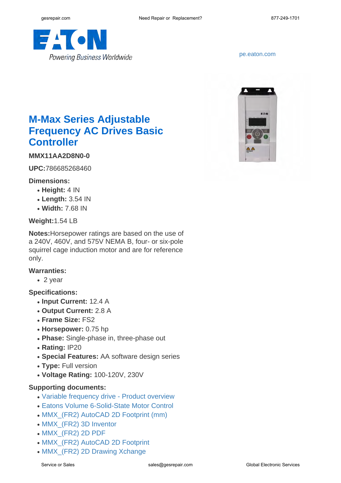

<pe.eaton.com>



# **M-Max Series Adjustable Frequency AC Drives Basic Controller**

### **MMX11AA2D8N0-0**

**UPC:**786685268460

#### **Dimensions:**

- **Height:** 4 IN
- **Length:** 3.54 IN
- **Width:** 7.68 IN

#### **Weight:**1.54 LB

**Notes:**Horsepower ratings are based on the use of a 240V, 460V, and 575V NEMA B, four- or six-pole squirrel cage induction motor and are for reference only.

#### **Warranties:**

 $\cdot$  2 year

#### **Specifications:**

- **Input Current:** 12.4 A
- **Output Current:** 2.8 A
- **Frame Size:** FS2
- **Horsepower:** 0.75 hp
- Phase: Single-phase in, three-phase out
- **Rating:** IP20
- **Special Features:** AA software design series
- **Type:** Full version
- **Voltage Rating:** 100-120V, 230V

#### **Supporting documents:**

- [Variable frequency drive Product overview](http://www.eaton.com/ecm/idcplg?IdcService=GET_FILE&allowInterrupt=1&RevisionSelectionMethod=LatestReleased&noSaveAs=0&Rendition=Primary&dDocName=BR040002EN)
- [Eatons Volume 6-Solid-State Motor Control](http://www.eaton.com/ecm/idcplg?IdcService=GET_FILE&allowInterrupt=1&RevisionSelectionMethod=LatestReleased&Rendition=Primary&dDocName=CA08100007E)
- [MMX\\_\(FR2\) AutoCAD 2D Footprint \(mm\)](http://www.eaton.com/ecm/idcplg?IdcService=GET_FILE&allowInterrupt=1&RevisionSelectionMethod=LatestReleased&noSaveAs=0&Rendition=Primary&dDocName=MMX_(FR2)(mm).DWG_29510)
- MMX (FR2) 3D Inventor
- $\bullet$  MMX (FR2) 2D PDF
- MMX (FR2) AutoCAD 2D Footprint
- MMX (FR2) 2D Drawing Xchange